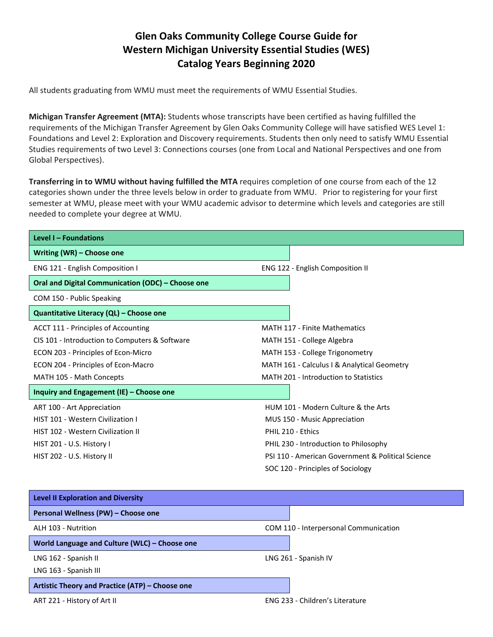## **Glen Oaks Community College Course Guide for Western Michigan University Essential Studies (WES) Catalog Years Beginning 2020**

All students graduating from WMU must meet the requirements of WMU Essential Studies.

**Michigan Transfer Agreement (MTA):** Students whose transcripts have been certified as having fulfilled the requirements of the Michigan Transfer Agreement by Glen Oaks Community College will have satisfied WES Level 1: Foundations and Level 2: Exploration and Discovery requirements. Students then only need to satisfy WMU Essential Studies requirements of two Level 3: Connections courses (one from Local and National Perspectives and one from Global Perspectives).

**Transferring in to WMU without having fulfilled the MTA** requires completion of one course from each of the 12 categories shown under the three levels below in order to graduate from WMU. Prior to registering for your first semester at WMU, please meet with your WMU academic advisor to determine which levels and categories are still needed to complete your degree at WMU.

| Level I - Foundations                             |                                                   |
|---------------------------------------------------|---------------------------------------------------|
| Writing (WR) - Choose one                         |                                                   |
| <b>ENG 121 - English Composition I</b>            | <b>ENG 122 - English Composition II</b>           |
| Oral and Digital Communication (ODC) - Choose one |                                                   |
| COM 150 - Public Speaking                         |                                                   |
| Quantitative Literacy (QL) - Choose one           |                                                   |
| ACCT 111 - Principles of Accounting               | <b>MATH 117 - Finite Mathematics</b>              |
| CIS 101 - Introduction to Computers & Software    | MATH 151 - College Algebra                        |
| ECON 203 - Principles of Econ-Micro               | MATH 153 - College Trigonometry                   |
| ECON 204 - Principles of Econ-Macro               | MATH 161 - Calculus I & Analytical Geometry       |
| MATH 105 - Math Concepts                          | MATH 201 - Introduction to Statistics             |
| Inquiry and Engagement (IE) - Choose one          |                                                   |
| ART 100 - Art Appreciation                        | HUM 101 - Modern Culture & the Arts               |
| <b>HIST 101 - Western Civilization I</b>          | MUS 150 - Music Appreciation                      |
| HIST 102 - Western Civilization II                | PHIL 210 - Ethics                                 |
| HIST 201 - U.S. History I                         | PHIL 230 - Introduction to Philosophy             |
| HIST 202 - U.S. History II                        | PSI 110 - American Government & Political Science |
|                                                   | SOC 120 - Principles of Sociology                 |
|                                                   |                                                   |
| <b>Level II Exploration and Diversity</b>         |                                                   |

| Personal Wellness (PW) - Choose one             |                                       |
|-------------------------------------------------|---------------------------------------|
| ALH 103 - Nutrition                             | COM 110 - Interpersonal Communication |
| World Language and Culture (WLC) - Choose one   |                                       |
| LNG 162 - Spanish II                            | LNG 261 - Spanish IV                  |
| LNG 163 - Spanish III                           |                                       |
| Artistic Theory and Practice (ATP) - Choose one |                                       |
| ART 221 - History of Art II                     | ENG 233 - Children's Literature       |